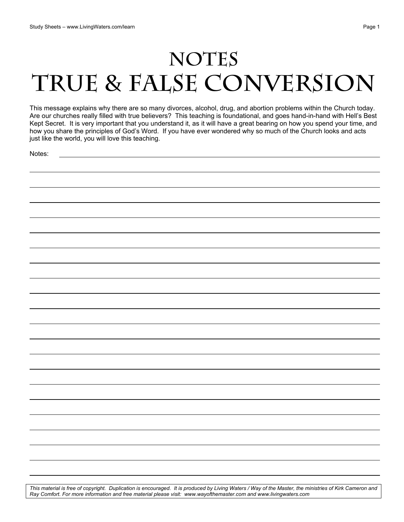## NOTES **True & False Conversion**

This message explains why there are so many divorces, alcohol, drug, and abortion problems within the Church today. Are our churches really filled with true believers? This teaching is foundational, and goes hand-in-hand with Hell's Best Kept Secret. It is very important that you understand it, as it will have a great bearing on how you spend your time, and how you share the principles of God's Word. If you have ever wondered why so much of the Church looks and acts just like the world, you will love this teaching.

Notes:

| <u>ivulco.</u> |  |  |
|----------------|--|--|
|                |  |  |
|                |  |  |
|                |  |  |
|                |  |  |
|                |  |  |
|                |  |  |
|                |  |  |
|                |  |  |
|                |  |  |
|                |  |  |
|                |  |  |
|                |  |  |
|                |  |  |
|                |  |  |
|                |  |  |
|                |  |  |
|                |  |  |
|                |  |  |
|                |  |  |
|                |  |  |
|                |  |  |
|                |  |  |
|                |  |  |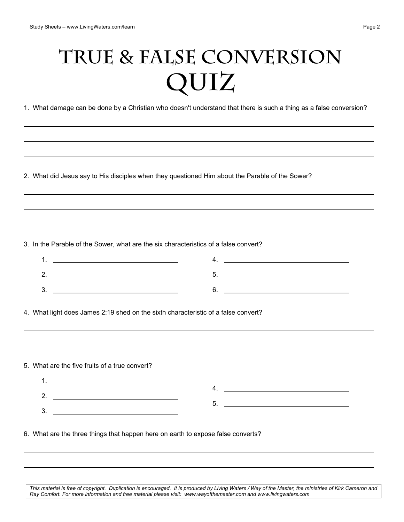## **True & False Conversion QUIZ**

1. What damage can be done by a Christian who doesn't understand that there is such a thing as a false conversion?

2. What did Jesus say to His disciples when they questioned Him about the Parable of the Sower?

3. In the Parable of the Sower, what are the six characteristics of a false convert?

| <u>.</u> |  |
|----------|--|
| ີ        |  |

4. What light does James 2:19 shed on the sixth characteristic of a false convert?

5. What are the five fruits of a true convert?

1. 2. 3. 4. 5.

6. What are the three things that happen here on earth to expose false converts?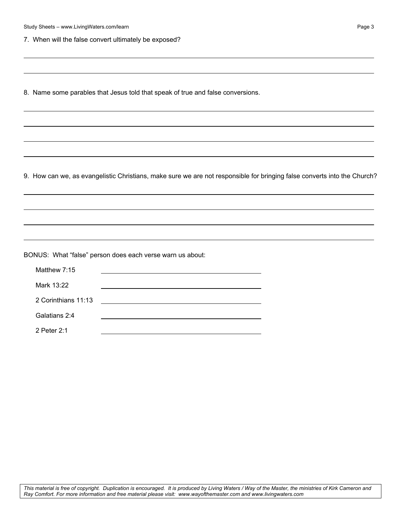7. When will the false convert ultimately be exposed?

8. Name some parables that Jesus told that speak of true and false conversions.

9. How can we, as evangelistic Christians, make sure we are not responsible for bringing false converts into the Church?

BONUS: What "false" person does each verse warn us about:

| Matthew 7:15        |  |
|---------------------|--|
| Mark 13:22          |  |
| 2 Corinthians 11:13 |  |
| Galatians 2:4       |  |
| 2 Peter 2:1         |  |